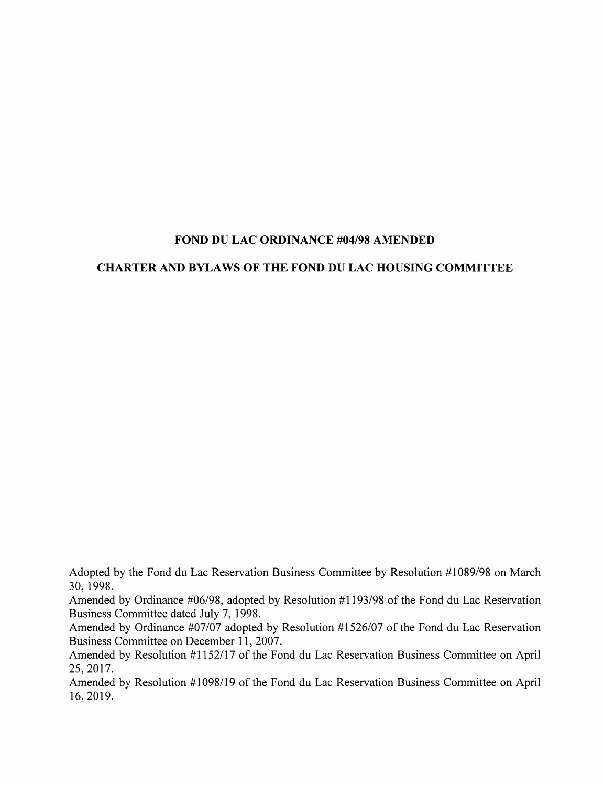## FOND DU LAC ORDINANCE #04/98 AMENDED

## CHARTER AND BYLAWS OF THE FOND DU LAC HOUSING COMMITTEE

Adopted by the Fond du Lac Reservation Business Committee by Resolution #1089/98 on March 30, 1998.

Amended by Ordinance #06/98, adopted by Resolution #1193/98 of the Fond du Lac Reservation Business Committee dated July 7, 1998.

Amended by Ordinance #07/07 adopted by Resolution #1526/07 of the Fond du Lac Reservation Business Committee on December 11, 2007.

Amended by Resolution #1152/17 of the Fond du Lac Reservation Business Committee on April 25,2017.

Amended by Resolution #1098/19 of the Fond du Lac Reservation Business Committee on April 16, 2019.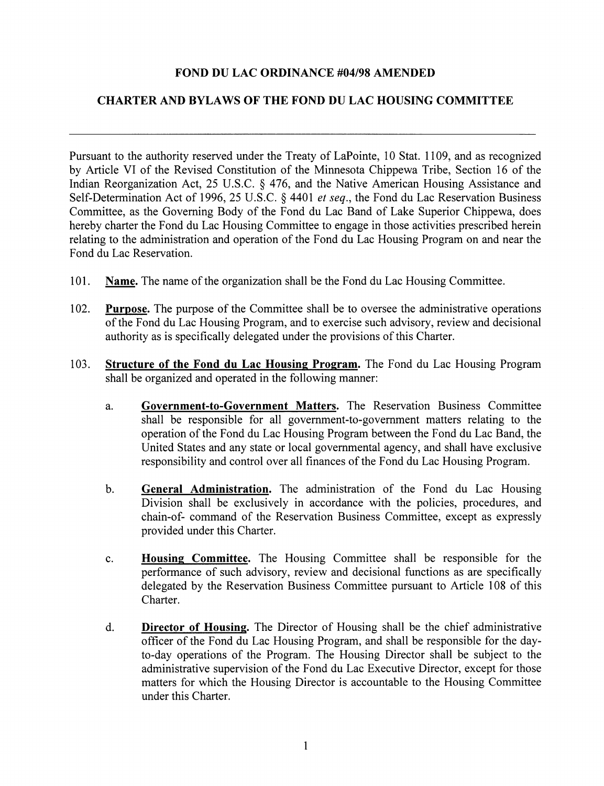#### FOND DU LAC ORDINANCE #04/98 AMENDED

## CHARTER AND BYLAWS OF THE FOND DU LAC HOUSING COMMITTEE

Pursuant to the authority reserved under the Treaty of LaPointe, 10 Stat. 1109, and as recognized by Article VI of the Revised Constitution of the Minnesota Chippewa Tribe, Section 16 of the Indian Reorganization Act, 25 U.S.C. § 476, and the Native American Housing Assistance and Self-Determination Act of 1996, 25 U.S.C. § 4401 *et seq.*, the Fond du Lac Reservation Business Committee, as the Governing Body of the Fond du Lac Band of Lake Superior Chippewa, does hereby charter the Fond du Lac Housing Committee to engage in those activities prescribed herein relating to the administration and operation of the Fond du Lac Housing Program on and near the Fond du Lae Reservation.

- 101. Name. The name of the organization shall be the Fond du Lac Housing Committee.
- 102. Purpose. The purpose of the Committee shall be to oversee the administrative operations of the Fond du Lac Housing Program, and to exercise such advisory, review and decisional authority as is speeifieally delegated under the provisions ofthis Charter.
- 103. Structure of the Fond du Lac Housing Program. The Fond du Lac Housing Program shall be organized and operated in the following manner:
	- a. Government-to-Government Matters. The Reservation Business Committee shall be responsible for all govemment-to-govemment matters relating to the operation of the Fond du Lac Housing Program between the Fond du Lac Band, the United States and any state or local governmental agency, and shall have exclusive responsibility and control over all finances of the Fond du Lac Housing Program.
	- b. General Administration. The administration of the Fond du Lac Housing Division shall be exclusively in accordance with the policies, procedures, and chain-of- command of the Reservation Business Committee, except as expressly provided under this Charter.
	- e. Housing Committee. The Housing Committee shall be responsible for the performance of such advisory, review and deeisional functions as are specifically delegated by the Reservation Business Committee pursuant to Article 108 of this Charter.
	- d. Director of Housing. The Director of Housing shall be the chief administrative officer of the Fond du Lae Housing Program, and shall be responsible for the dayto-day operations of the Program. The Housing Director shall be subject to the administrative supervision of the Fond du Lae Executive Director, except for those matters for which the Housing Director is accountable to the Housing Committee under this Charter.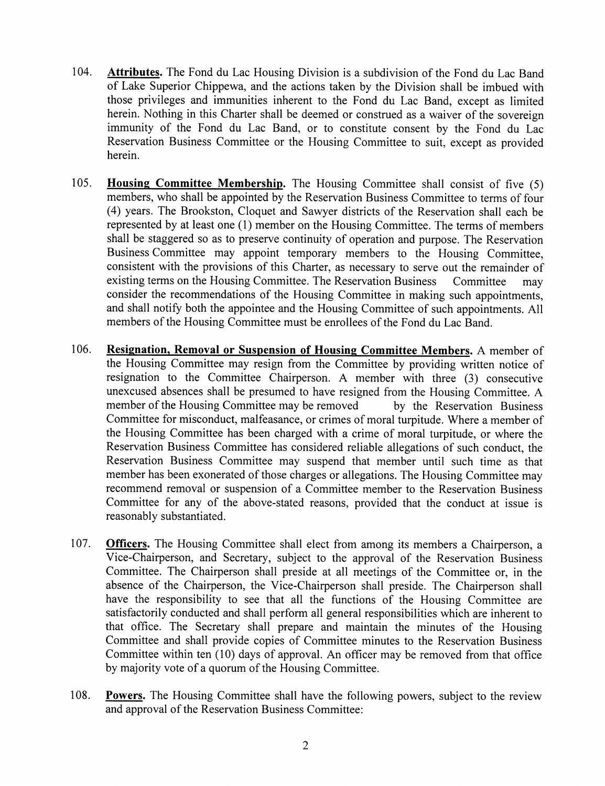- 104. Attributes. The Fond du Lac Housing Division is a subdivision of the Fond du Lac Band of Lake Superior Chippewa, and the actions taken by the Division shall be imbued with those privileges and immunities inherent to the Fond du Lac Band, except as limited herein. Nothing in this Charter shall be deemed or construed as a waiver of the sovereign immunity of the Fond du Lac Band, or to constitute consent by the Fond du Lac Reservation Business Committee or the Housing Committee to suit, except as provided herein.
- 105. Housing Committee Membership. The Housing Committee shall consist of five (5) members, who shall be appointed by the Reservation Business Committee to terms of four (4) years. The Brookston, Cloquet and Sawyer districts of the Reservation shall each be represented by at least one (1) member on the Housing Committee. The terms of members shall be staggered so as to preserve continuity of operation and purpose. The Reservation Business Committee may appoint temporary members to the Housing Committee, consistent with the provisions of this Charter, as necessary to serve out the remainder of existing terms on the Housing Committee. The Reservation Business Committee may consider the recommendations of the Housing Committee in making such appointments, and shall notify both the appointee and the Housing Committee of such appointments. All members of the Housing Committee must be enrollees of the Fond du Lac Band.
- 106. Resignation, Removal or Suspension of Housing Committee Members. A member of the Housing Committee may resign from the Committee by providing written notice of resignation to the Committee Chairperson. A member with three (3) consecutive unexcused absences shall be presumed to have resigned from the Housing Committee. A member of the Housing Committee may be removed by the Reservation Business Committee for misconduct, malfeasance, or crimes of moral turpitude. Where a member of the Housing Committee has been charged with a crime of moral turpitude, or where the Reservation Business Committee has considered reliable allegations of such conduct, the Reservation Business Committee may suspend that member until such time as that member has been exonerated of those charges or allegations. The Housing Committee may recommend removal or suspension of a Committee member to the Reservation Business Committee for any of the above-stated reasons, provided that the conduct at issue is reasonably substantiated.
- 107. **Officers.** The Housing Committee shall elect from among its members a Chairperson, a Vice-Chairperson, and Secretary, subject to the approval of the Reservation Business Committee. The Chairperson shall preside at all meetings of the Committee or, in the absence of the Chairperson, the Vice-Chairperson shall preside. The Chairperson shall have the responsibility to see that all the functions of the Housing Committee are satisfactorily conducted and shall perform all general responsibilities which are inherent to that office. The Secretary shall prepare and maintain the minutes of the Housing Committee and shall provide copies of Committee minutes to the Reservation Business Committee within ten (10) days of approval. An officer may be removed from that office by majority vote of a quorum of the Housing Committee.
- 108. Powers. The Housing Committee shall have the following powers, subject to the review and approval of the Reservation Business Committee: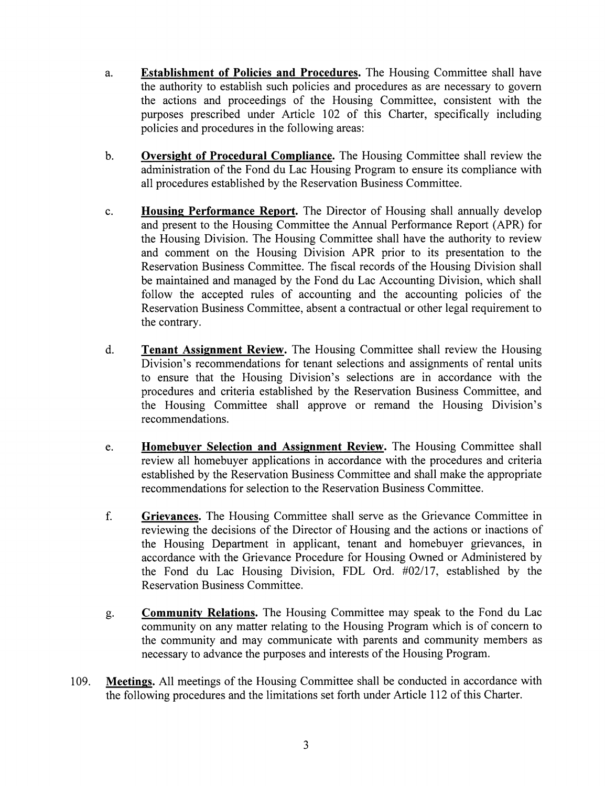- a. Establishment of Policies and Procedures. The Housing Committee shall have the authority to establish such policies and procedures as are necessary to govern the actions and proceedings of the Housing Committee, consistent with the purposes prescribed under Article 102 of this Charter, specifically including policies and procedures in the following areas:
- b. Oversight of Procedural Compliance. The Housing Committee shall review the administration of the Fond du Lac Housing Program to ensure its compliance with all procedures established by the Reservation Business Committee.
- c. Housing Performance Report. The Director of Housing shall annually develop and present to the Housing Committee the Annual Performance Report (APR) for the Housing Division. The Housing Committee shall have the authority to review and comment on the Housing Division APR prior to its presentation to the Reservation Business Committee. The fiscal records of the Housing Division shall be maintained and managed by the Fond du Lac Accounting Division, which shall follow the accepted rules of accounting and the accounting policies of the Reservation Business Committee, absent a contractual or other legal requirement to the contrary.
- d. Tenant Assignment Review. The Housing Committee shall review the Housing Division's recommendations for tenant selections and assignments of rental units to ensure that the Housing Division's selections are in accordance with the procedures and criteria established by the Reservation Business Committee, and the Housing Committee shall approve or remand the Housing Division's recommendations.
- e. **Homebuyer Selection and Assignment Review.** The Housing Committee shall review all homebuyer applications in accordance with the procedures and criteria established by the Reservation Business Committee and shall make the appropriate recommendations for selection to the Reservation Business Committee.
- f. Grievances. The Housing Committee shall serve as the Grievance Committee in reviewing the decisions of the Director of Housing and the actions or inactions of the Housing Department in applicant, tenant and homebuyer grievances, in accordance with the Grievance Procedure for Housing Owned or Administered by the Fond du Lac Housing Division, FDL Ord. #02/17, established by the Reservation Business Committee.
- g. Community Relations. The Housing Committee may speak to the Fond du Lac community on any matter relating to the Housing Program which is of concern to the community and may communicate with parents and community members as necessary to advance the purposes and interests of the Housing Program.
- 109. Meetings. All meetings of the Housing Committee shall be conducted in accordance with the following procedures and the limitations set forth under Article 112 of this Charter.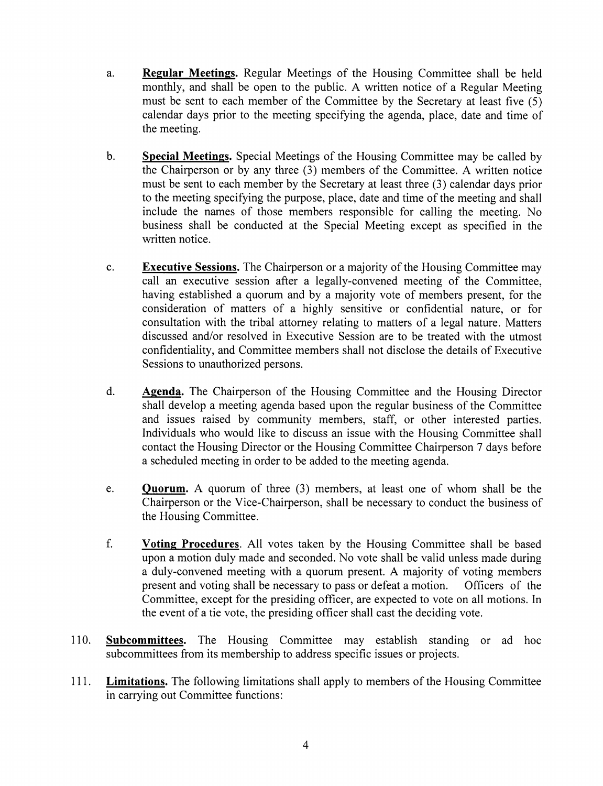- a. Regular Meetings. Regular Meetings of the Housing Committee shall be held monthly, and shall be open to the public. A written notice of a Regular Meeting must be sent to each member of the Committee by the Secretary at least five (5) calendar days prior to the meeting specifying the agenda, place, date and time of the meeting.
- b. Special Meetings. Special Meetings of the Housing Committee may be called by the Chairperson or by any three (3) members of the Committee. A written notice must be sent to each member by the Secretary at least three (3) calendar days prior to the meeting specifying the purpose, place, date and time of the meeting and shall include the names of those members responsible for calling the meeting. No business shall be conducted at the Special Meeting except as specified in the written notice.
- c. **Executive Sessions.** The Chairperson or a majority of the Housing Committee may call an executive session after a legally-convened meeting of the Committee, having established a quorum and by a majority vote of members present, for the consideration of matters of a highly sensitive or confidential nature, or for consultation with the tribal attorney relating to matters of a legal nature. Matters discussed and/or resolved in Executive Session are to be treated with the utmost confidentiality, and Committee members shall not disclose the details of Executive Sessions to unauthorized persons.
- d. **Agenda.** The Chairperson of the Housing Committee and the Housing Director shall develop a meeting agenda based upon the regular business of the Committee and issues raised by community members, staff, or other interested parties. Individuals who would like to discuss an issue with the Housing Committee shall contact the Housing Director or the Housing Committee Chairperson 7 days before a scheduled meeting in order to be added to the meeting agenda.
- e. Quorum. A quorum of three (3) members, at least one of whom shall be the Chairperson or the Vice-Chairperson, shall be necessary to conduct the business of the Housing Committee.
- f. Voting Procedures. All votes taken by the Housing Committee shall be based upon a motion duly made and seconded. No vote shall be valid unless made during a duly-convened meeting with a quorum present. A majority of voting members present and voting shall be necessary to pass or defeat a motion. Officers of the Committee, except for the presiding officer, are expected to vote on all motions. In the event of a tie vote, the presiding officer shall cast the deciding vote.
- 110. **Subcommittees.** The Housing Committee may establish standing or ad hoc subcommittees from its membership to address specific issues or projects.
- 111. Limitations. The following limitations shall apply to members of the Housing Committee in carrying out Committee functions: